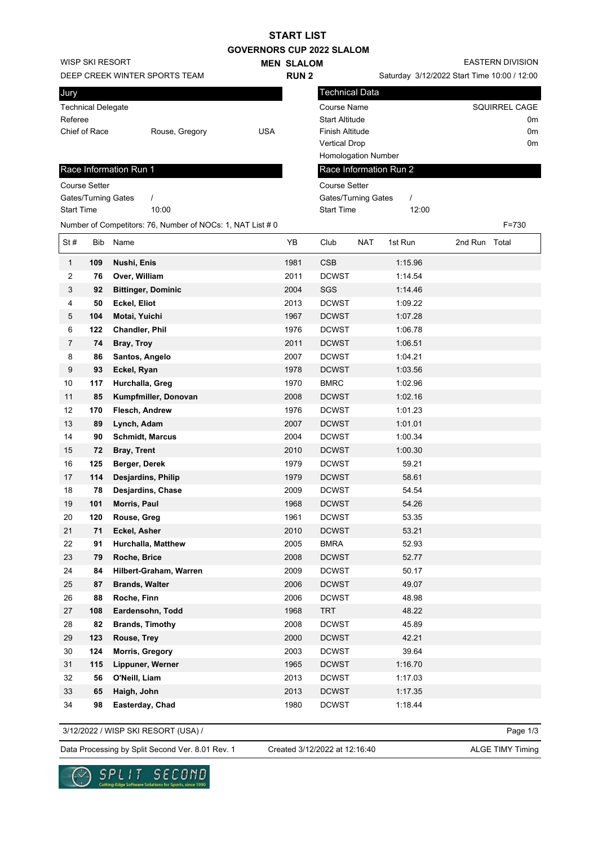|                   |                           |                                                            |                                  | <b>START LIST</b> |                        |            |                                             |               |                         |                |
|-------------------|---------------------------|------------------------------------------------------------|----------------------------------|-------------------|------------------------|------------|---------------------------------------------|---------------|-------------------------|----------------|
|                   |                           |                                                            | <b>GOVERNORS CUP 2022 SLALOM</b> |                   |                        |            |                                             |               |                         |                |
|                   | WISP SKI RESORT           |                                                            |                                  | <b>MEN SLALOM</b> |                        |            |                                             |               | <b>EASTERN DIVISION</b> |                |
|                   |                           | DEEP CREEK WINTER SPORTS TEAM                              |                                  | <b>RUN2</b>       |                        |            | Saturday 3/12/2022 Start Time 10:00 / 12:00 |               |                         |                |
| Jury              |                           |                                                            |                                  |                   | Technical Data         |            |                                             |               |                         |                |
|                   |                           |                                                            |                                  |                   | Course Name            |            |                                             |               | <b>SQUIRREL CAGE</b>    |                |
| Referee           | <b>Technical Delegate</b> |                                                            |                                  |                   | <b>Start Altitude</b>  |            |                                             |               |                         | 0 <sub>m</sub> |
|                   | Chief of Race             |                                                            | <b>USA</b>                       |                   | <b>Finish Altitude</b> |            |                                             |               | 0 <sub>m</sub>          |                |
|                   |                           | Rouse, Gregory                                             |                                  |                   |                        |            |                                             |               | 0 <sub>m</sub>          |                |
|                   |                           |                                                            |                                  |                   | <b>Vertical Drop</b>   |            |                                             |               |                         |                |
|                   |                           |                                                            |                                  |                   | Homologation Number    |            |                                             |               |                         |                |
|                   |                           | Race Information Run 1                                     |                                  |                   |                        |            | Race Information Run 2                      |               |                         |                |
|                   | Course Setter             |                                                            |                                  |                   | <b>Course Setter</b>   |            |                                             |               |                         |                |
|                   | Gates/Turning Gates       | $\prime$                                                   |                                  |                   | Gates/Turning Gates    |            |                                             |               |                         |                |
| <b>Start Time</b> |                           | 10:00                                                      |                                  |                   | <b>Start Time</b>      |            | 12:00                                       |               |                         |                |
|                   |                           | Number of Competitors: 76, Number of NOCs: 1, NAT List # 0 |                                  |                   |                        |            |                                             |               | $F = 730$               |                |
| St#               | <b>Bib</b>                | Name                                                       |                                  | YB                | Club                   | <b>NAT</b> | 1st Run                                     | 2nd Run Total |                         |                |
| $\mathbf{1}$      | 109                       | Nushi, Enis                                                |                                  | 1981              | <b>CSB</b>             |            | 1:15.96                                     |               |                         |                |
| 2                 | 76                        | Over, William                                              |                                  | 2011              | <b>DCWST</b>           |            | 1:14.54                                     |               |                         |                |
| 3                 | 92                        | <b>Bittinger, Dominic</b>                                  |                                  | 2004              | SGS                    |            | 1:14.46                                     |               |                         |                |
| 4                 | 50                        | Eckel, Eliot                                               |                                  | 2013              | <b>DCWST</b>           |            | 1:09.22                                     |               |                         |                |
| 5                 | 104                       | Motai, Yuichi                                              |                                  | 1967              | <b>DCWST</b>           |            | 1:07.28                                     |               |                         |                |
| 6                 | 122                       | <b>Chandler, Phil</b>                                      |                                  | 1976              | <b>DCWST</b>           |            | 1:06.78                                     |               |                         |                |
| $\overline{7}$    | 74                        | Bray, Troy                                                 |                                  | 2011              | <b>DCWST</b>           |            | 1:06.51                                     |               |                         |                |

 **86 Santos, Angelo** 2007 DCWST 1:04.21 **93 Eckel, Ryan** 1978 DCWST 1:03.56 **117 Hurchalla, Greg** 1970 BMRC 1:02.96 **85 Kumpfmiller, Donovan** 2008 DCWST 1:02.16 **170 Flesch, Andrew** 1976 DCWST 1:01.23 **89 Lynch, Adam** 2007 DCWST 1:01.01 **90 Schmidt, Marcus** 2004 DCWST 1:00.34 **72 Bray, Trent** 2010 DCWST 1:00.30 **125 Berger, Derek** 1979 DCWST 59.21 **114 Desjardins, Philip** 1979 DCWST 58.61 **78 Desjardins, Chase** 2009 DCWST 54.54 **101 Morris, Paul** 1968 DCWST 54.26 **120 Rouse, Greg** 1961 DCWST 53.35 **71 Eckel, Asher** 2010 DCWST 53.21 **91 Hurchalla, Matthew** 2005 BMRA 52.93 **79 Roche, Brice** 2008 DCWST 52.77 **84 Hilbert-Graham, Warren** 2009 DCWST 50.17 **87 Brands, Walter** 2006 DCWST 49.07 **88 Roche, Finn** 2006 DCWST 48.98 **108 Eardensohn, Todd** 1968 TRT 48.22 **82 Brands, Timothy** 2008 DCWST 45.89 **123 Rouse, Trey** 2000 DCWST 42.21 **124 Morris, Gregory** 2003 DCWST 39.64 **115 Lippuner, Werner** 1965 DCWST 1:16.70 **56 O'Neill, Liam** 2013 DCWST 1:17.03 **65 Haigh, John** 2013 DCWST 1:17.35 **98 Easterday, Chad** 1980 DCWST 1:18.44

SECOND SPLIT

3/12/2022 / WISP SKI RESORT (USA) /

Data Processing by Split Second Ver. 8.01 Rev. 1 Created 3/12/2022 at 12:16:40 ALGE TIMY Timing Created 3/12/2022 at 12:16:40

Page 1/3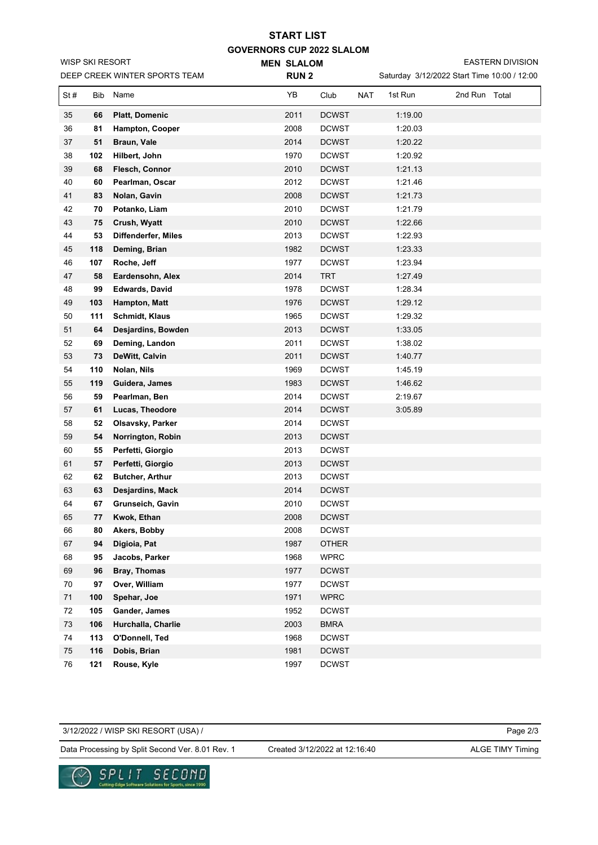## **GOVERNORS CUP 2022 SLALOM MEN SLALOM START LIST**

EASTERN DIVISION

|            |     | DEEP CREEK WINTER SPORTS TEAM | <b>RUN2</b> |              |                       | Saturday 3/12/2022 Start Time 10:00 / 12:00 |  |
|------------|-----|-------------------------------|-------------|--------------|-----------------------|---------------------------------------------|--|
| St#        | Bib | Name                          | YB          | Club         | <b>NAT</b><br>1st Run | 2nd Run Total                               |  |
| 35         | 66  | <b>Platt, Domenic</b>         | 2011        | <b>DCWST</b> | 1:19.00               |                                             |  |
| 36         | 81  | Hampton, Cooper               | 2008        | <b>DCWST</b> | 1:20.03               |                                             |  |
| 37         | 51  | <b>Braun, Vale</b>            | 2014        | <b>DCWST</b> | 1:20.22               |                                             |  |
| 38         | 102 | Hilbert, John                 | 1970        | <b>DCWST</b> | 1:20.92               |                                             |  |
| 39         | 68  | Flesch, Connor                | 2010        | <b>DCWST</b> | 1:21.13               |                                             |  |
| 40         | 60  | Pearlman, Oscar               | 2012        | <b>DCWST</b> | 1:21.46               |                                             |  |
| 41         | 83  | Nolan, Gavin                  | 2008        | <b>DCWST</b> | 1:21.73               |                                             |  |
| 42         | 70  | Potanko, Liam                 | 2010        | <b>DCWST</b> | 1:21.79               |                                             |  |
| 43         | 75  | Crush, Wyatt                  | 2010        | <b>DCWST</b> | 1:22.66               |                                             |  |
| 44         | 53  | Diffenderfer, Miles           | 2013        | <b>DCWST</b> | 1:22.93               |                                             |  |
| 45         | 118 | Deming, Brian                 | 1982        | <b>DCWST</b> | 1:23.33               |                                             |  |
| 46         | 107 | Roche, Jeff                   | 1977        | <b>DCWST</b> | 1:23.94               |                                             |  |
| 47         | 58  | Eardensohn, Alex              | 2014        | <b>TRT</b>   | 1:27.49               |                                             |  |
| 48         | 99  | <b>Edwards, David</b>         | 1978        | <b>DCWST</b> | 1:28.34               |                                             |  |
| 49         | 103 | Hampton, Matt                 | 1976        | <b>DCWST</b> | 1:29.12               |                                             |  |
| 50         | 111 | <b>Schmidt, Klaus</b>         | 1965        | <b>DCWST</b> | 1:29.32               |                                             |  |
| 51         | 64  | Desjardins, Bowden            | 2013        | <b>DCWST</b> | 1:33.05               |                                             |  |
| 52         | 69  | Deming, Landon                | 2011        | <b>DCWST</b> | 1:38.02               |                                             |  |
| 53         | 73  | DeWitt, Calvin                | 2011        | <b>DCWST</b> | 1:40.77               |                                             |  |
| 54         | 110 | Nolan, Nils                   | 1969        | <b>DCWST</b> | 1:45.19               |                                             |  |
| 55         | 119 | Guidera, James                | 1983        | <b>DCWST</b> | 1:46.62               |                                             |  |
| 56         | 59  | Pearlman, Ben                 | 2014        | <b>DCWST</b> | 2:19.67               |                                             |  |
| 57         | 61  | Lucas, Theodore               | 2014        | <b>DCWST</b> | 3:05.89               |                                             |  |
| 58         | 52  | Olsavsky, Parker              | 2014        | <b>DCWST</b> |                       |                                             |  |
| 59         | 54  | Norrington, Robin             | 2013        | <b>DCWST</b> |                       |                                             |  |
| 60         | 55  | Perfetti, Giorgio             | 2013        | <b>DCWST</b> |                       |                                             |  |
| 61         | 57  | Perfetti, Giorgio             | 2013        | <b>DCWST</b> |                       |                                             |  |
| 62         | 62  | <b>Butcher, Arthur</b>        | 2013        | <b>DCWST</b> |                       |                                             |  |
| 63         | 63  | Desjardins, Mack              | 2014        | <b>DCWST</b> |                       |                                             |  |
| 64         | 67  | Grunseich, Gavin              | 2010        | <b>DCWST</b> |                       |                                             |  |
| 65         | 77  | Kwok, Ethan                   | 2008        | DCWST        |                       |                                             |  |
| 66         | 80  | Akers, Bobby                  | 2008        | <b>DCWST</b> |                       |                                             |  |
| 67         | 94  | Digioia, Pat                  | 1987        | <b>OTHER</b> |                       |                                             |  |
| 68         | 95  | Jacobs, Parker                | 1968        | <b>WPRC</b>  |                       |                                             |  |
| 69         | 96  | Bray, Thomas                  | 1977        | <b>DCWST</b> |                       |                                             |  |
| 70         | 97  | Over, William                 | 1977        | <b>DCWST</b> |                       |                                             |  |
| 71         | 100 | Spehar, Joe                   | 1971        | <b>WPRC</b>  |                       |                                             |  |
| 72         | 105 | Gander, James                 | 1952        | <b>DCWST</b> |                       |                                             |  |
| 73         | 106 | Hurchalla, Charlie            | 2003        | <b>BMRA</b>  |                       |                                             |  |
| 74         | 113 | O'Donnell, Ted                | 1968        | <b>DCWST</b> |                       |                                             |  |
| 75         | 116 | Dobis, Brian                  | 1981        | <b>DCWST</b> |                       |                                             |  |
| ${\bf 76}$ | 121 | Rouse, Kyle                   | 1997        | <b>DCWST</b> |                       |                                             |  |

Page 2/3 Data Processing by Split Second Ver. 8.01 Rev. 1 Created 3/12/2022 at 12:16:40 ALGE TIMY Timing 3/12/2022 / WISP SKI RESORT (USA) / Created 3/12/2022 at 12:16:40



WISP SKI RESORT